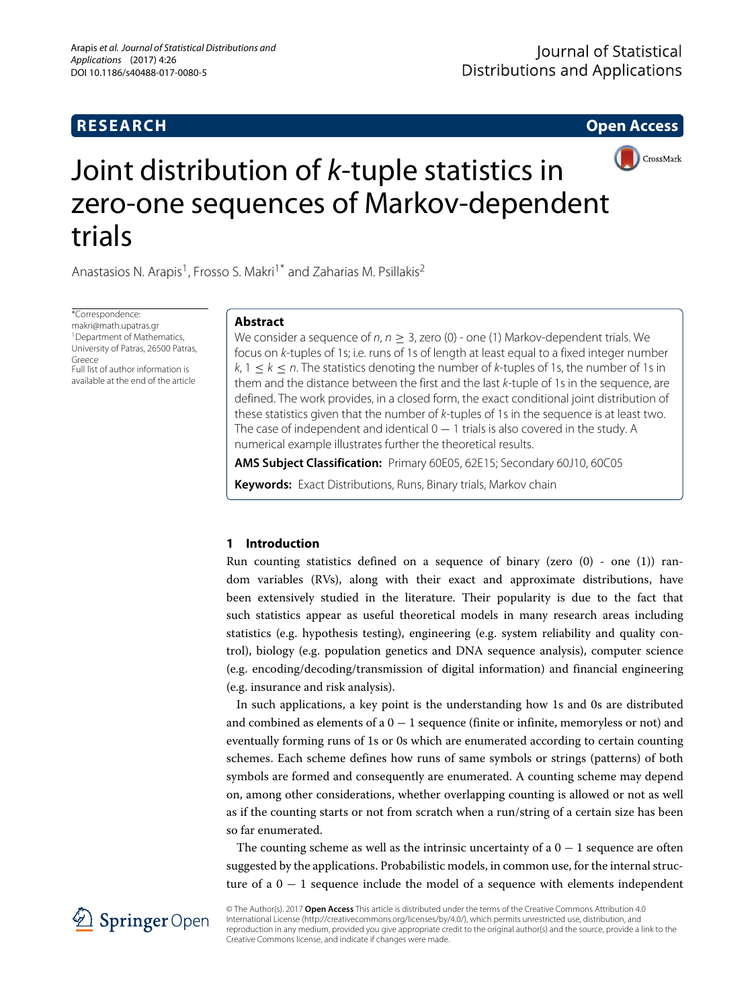# **RESEARCH Open Access**



# Joint distribution of *k*-tuple statistics in zero-one sequences of Markov-dependent trials

Anastasios N. Arapis<sup>1</sup>, Frosso S. Makri<sup>1\*</sup> and Zaharias M. Psillakis<sup>2</sup>

\*Correspondence: [makri@math.upatras.gr](mailto: makri@math.upatras.gr) <sup>1</sup> Department of Mathematics, University of Patras, 26500 Patras, Greece Full list of author information is available at the end of the article

## **Abstract**

We consider a sequence of  $n, n > 3$ , zero (0) - one (1) Markov-dependent trials. We focus on k-tuples of 1s; i.e. runs of 1s of length at least equal to a fixed integer number  $k, 1 \leq k \leq n$ . The statistics denoting the number of k-tuples of 1s, the number of 1s in them and the distance between the first and the last k-tuple of 1s in the sequence, are defined. The work provides, in a closed form, the exact conditional joint distribution of these statistics given that the number of k-tuples of 1s in the sequence is at least two. The case of independent and identical  $0 - 1$  trials is also covered in the study. A numerical example illustrates further the theoretical results.

**AMS Subject Classification:** Primary 60E05, 62E15; Secondary 60J10, 60C05

**Keywords:** Exact Distributions, Runs, Binary trials, Markov chain

# **1 Introduction**

Run counting statistics defined on a sequence of binary (zero  $(0)$  - one  $(1)$ ) random variables (RVs), along with their exact and approximate distributions, have been extensively studied in the literature. Their popularity is due to the fact that such statistics appear as useful theoretical models in many research areas including statistics (e.g. hypothesis testing), engineering (e.g. system reliability and quality control), biology (e.g. population genetics and DNA sequence analysis), computer science (e.g. encoding/decoding/transmission of digital information) and financial engineering (e.g. insurance and risk analysis).

In such applications, a key point is the understanding how 1s and 0s are distributed and combined as elements of a 0 − 1 sequence (finite or infinite, memoryless or not) and eventually forming runs of 1s or 0s which are enumerated according to certain counting schemes. Each scheme defines how runs of same symbols or strings (patterns) of both symbols are formed and consequently are enumerated. A counting scheme may depend on, among other considerations, whether overlapping counting is allowed or not as well as if the counting starts or not from scratch when a run/string of a certain size has been so far enumerated.

The counting scheme as well as the intrinsic uncertainty of a  $0 - 1$  sequence are often suggested by the applications. Probabilistic models, in common use, for the internal structure of a  $0 - 1$  sequence include the model of a sequence with elements independent



© The Author(s). 2017 **Open Access** This article is distributed under the terms of the Creative Commons Attribution 4.0 International License [\(http://creativecommons.org/licenses/by/4.0/\)](http://creativecommons.org/licenses/by/4.0/), which permits unrestricted use, distribution, and reproduction in any medium, provided you give appropriate credit to the original author(s) and the source, provide a link to the Creative Commons license, and indicate if changes were made.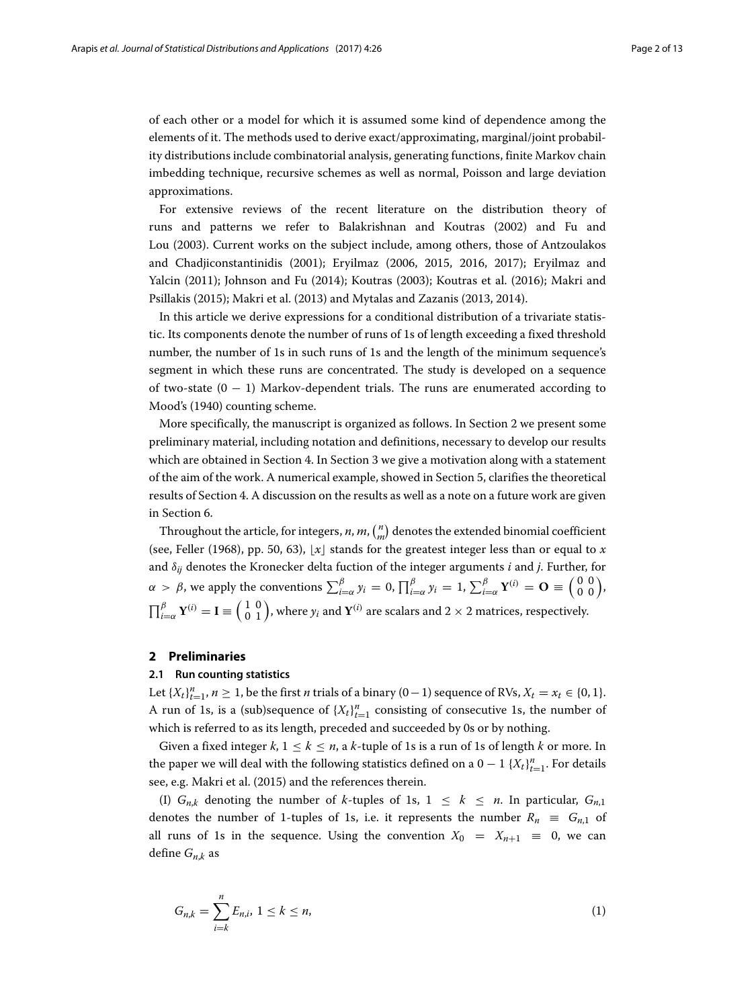of each other or a model for which it is assumed some kind of dependence among the elements of it. The methods used to derive exact/approximating, marginal/joint probability distributions include combinatorial analysis, generating functions, finite Markov chain imbedding technique, recursive schemes as well as normal, Poisson and large deviation approximations.

For extensive reviews of the recent literature on the distribution theory of runs and patterns we refer to Balakrishnan and Koutras [\(2002\)](#page-11-0) and Fu and Lou [\(2003\)](#page-11-1). Current works on the subject include, among others, those of Antzoulakos and Chadjiconstantinidis [\(2001\)](#page-11-2); Eryilmaz [\(2006,](#page-11-3) [2015,](#page-11-4) [2016,](#page-11-5) [2017\)](#page-11-6); Eryilmaz and Yalcin [\(2011\)](#page-11-7); Johnson and Fu [\(2014\)](#page-11-8); Koutras [\(2003\)](#page-11-9); Koutras et al. [\(2016\)](#page-11-10); Makri and Psillakis [\(2015\)](#page-12-0); Makri et al. [\(2013\)](#page-12-1) and Mytalas and Zazanis [\(2013,](#page-12-2) [2014\)](#page-12-3).

In this article we derive expressions for a conditional distribution of a trivariate statistic. Its components denote the number of runs of 1s of length exceeding a fixed threshold number, the number of 1s in such runs of 1s and the length of the minimum sequence's segment in which these runs are concentrated. The study is developed on a sequence of two-state  $(0 - 1)$  Markov-dependent trials. The runs are enumerated according to Mood's [\(1940\)](#page-12-4) counting scheme.

More specifically, the manuscript is organized as follows. In Section [2](#page-1-0) we present some preliminary material, including notation and definitions, necessary to develop our results which are obtained in Section [4.](#page-5-0) In Section [3](#page-4-0) we give a motivation along with a statement of the aim of the work. A numerical example, showed in Section [5,](#page-9-0) clarifies the theoretical results of Section [4.](#page-5-0) A discussion on the results as well as a note on a future work are given in Section [6.](#page-9-1)

Throughout the article, for integers, *n*, *m*,  $\binom{n}{m}$  denotes the extended binomial coefficient (see, Feller [\(1968\)](#page-11-11), pp. 50, 63),  $\lfloor x \rfloor$  stands for the greatest integer less than or equal to *x* and δ*ij* denotes the Kronecker delta fuction of the integer arguments *i* and *j*. Further, for α > β, we apply the conventions  $\sum_{i=\alpha}^{\beta} y_i = 0$ ,  $\prod_{i=\alpha}^{\beta} y_i = 1$ ,  $\sum_{i=\alpha}^{\beta} \mathbf{Y}^{(i)} = \mathbf{O} \equiv \begin{pmatrix} 0 & 0 \\ 0 & 0 \end{pmatrix}$ ,  $\prod_{i=\alpha}^\beta {\bf Y}^{(i)}={\bf I}\equiv \left(\begin{smallmatrix} 1&0\0&1\end{smallmatrix}\right)$ , where  $y_i$  and  ${\bf Y}^{(i)}$  are scalars and  $2\times 2$  matrices, respectively.

### <span id="page-1-0"></span>**2 Preliminaries**

#### **2.1 Run counting statistics**

Let  $\{X_t\}_{t=1}^n$ ,  $n \geq 1$ , be the first *n* trials of a binary (0−1) sequence of RVs,  $X_t = x_t \in \{0, 1\}$ . A run of 1s, is a (sub)sequence of  ${X_t}^n_{t=1}$  consisting of consecutive 1s, the number of which is referred to as its length, preceded and succeeded by 0s or by nothing.

Given a fixed integer  $k$ ,  $1 \leq k \leq n$ , a  $k$ -tuple of 1s is a run of 1s of length  $k$  or more. In the paper we will deal with the following statistics defined on a  $0-1$   $\{X_t\}_{t=1}^n$ . For details see, e.g. Makri et al. [\(2015\)](#page-12-5) and the references therein.

(I)  $G_{n,k}$  denoting the number of *k*-tuples of 1s,  $1 \leq k \leq n$ . In particular,  $G_{n,1}$ denotes the number of 1-tuples of 1s, i.e. it represents the number  $R_n \equiv G_{n,1}$  of all runs of 1s in the sequence. Using the convention  $X_0 = X_{n+1} \equiv 0$ , we can define *Gn*,*<sup>k</sup>* as

<span id="page-1-1"></span>
$$
G_{n,k} = \sum_{i=k}^{n} E_{n,i}, \ 1 \le k \le n,
$$
\n(1)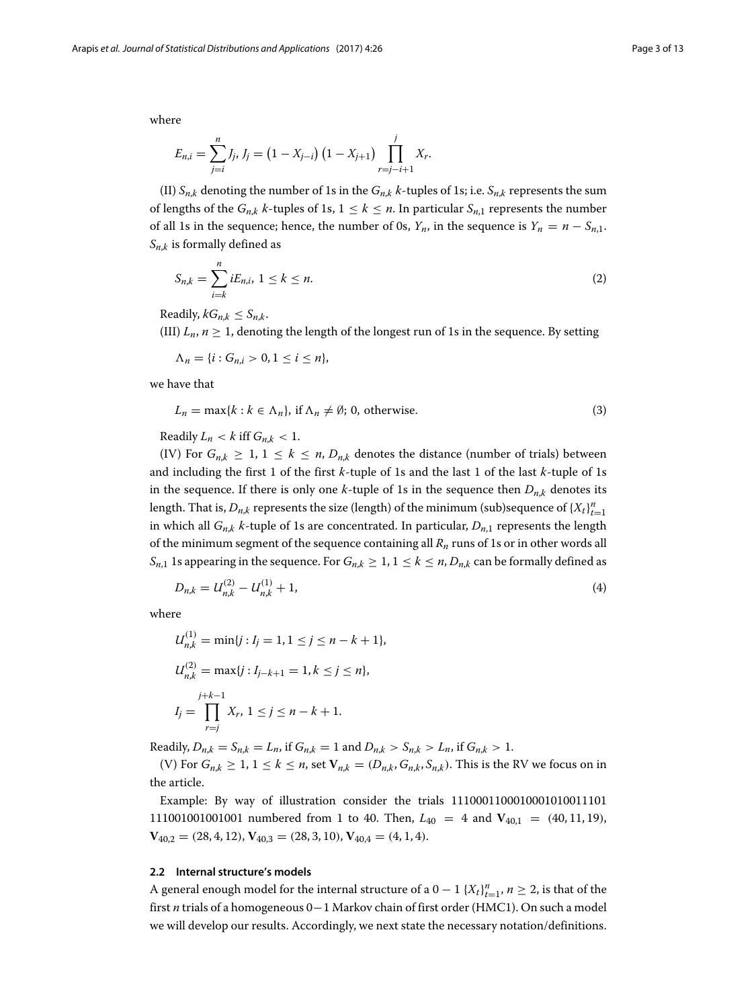where

$$
E_{n,i} = \sum_{j=i}^{n} J_j, J_j = (1 - X_{j-i}) (1 - X_{j+1}) \prod_{r=j-i+1}^{j} X_r.
$$

(II)  $S_{n,k}$  denoting the number of 1s in the  $G_{n,k}$  *k*-tuples of 1s; i.e.  $S_{n,k}$  represents the sum of lengths of the  $G_{n,k}$  *k*-tuples of 1s,  $1 \leq k \leq n$ . In particular  $S_{n,1}$  represents the number of all 1s in the sequence; hence, the number of 0s,  $Y_n$ , in the sequence is  $Y_n = n - S_{n,1}$ . *Sn*,*<sup>k</sup>* is formally defined as

$$
S_{n,k} = \sum_{i=k}^{n} iE_{n,i}, \ 1 \le k \le n. \tag{2}
$$

Readily,  $kG_{n,k} \leq S_{n,k}$ .

(III)  $L_n$ ,  $n \geq 1$ , denoting the length of the longest run of 1s in the sequence. By setting

 $\Lambda_n = \{i : G_{n,i} > 0, 1 \le i \le n\},\$ 

we have that

$$
L_n = \max\{k : k \in \Lambda_n\}, \text{ if } \Lambda_n \neq \emptyset; \text{ 0, otherwise.}
$$
 (3)

Readily  $L_n < k$  iff  $G_{n,k} < 1$ .

(IV) For  $G_{n,k} \geq 1, 1 \leq k \leq n$ ,  $D_{n,k}$  denotes the distance (number of trials) between and including the first 1 of the first *k*-tuple of 1s and the last 1 of the last *k*-tuple of 1s in the sequence. If there is only one  $k$ -tuple of 1s in the sequence then  $D_{n,k}$  denotes its length. That is,  $D_{n,k}$  represents the size (length) of the minimum (sub)sequence of  $\{X_t\}_{t=1}^n$ in which all  $G_{n,k}$  *k*-tuple of 1s are concentrated. In particular,  $D_{n,1}$  represents the length of the minimum segment of the sequence containing all *Rn* runs of 1s or in other words all *S*<sub>*n*</sub>,1</sub> 1s appearing in the sequence. For  $G_{n,k} \geq 1$ ,  $1 \leq k \leq n$ ,  $D_{n,k}$  can be formally defined as

<span id="page-2-0"></span>
$$
D_{n,k} = U_{n,k}^{(2)} - U_{n,k}^{(1)} + 1,\tag{4}
$$

where

$$
U_{n,k}^{(1)} = \min\{j : I_j = 1, 1 \le j \le n - k + 1\},
$$
  
\n
$$
U_{n,k}^{(2)} = \max\{j : I_{j-k+1} = 1, k \le j \le n\},
$$
  
\n
$$
I_j = \prod_{r=j}^{j+k-1} X_r, 1 \le j \le n - k + 1.
$$

Readily,  $D_{n,k} = S_{n,k} = L_n$ , if  $G_{n,k} = 1$  and  $D_{n,k} > S_{n,k} > L_n$ , if  $G_{n,k} > 1$ .

(V) For  $G_{n,k} \geq 1, 1 \leq k \leq n$ , set  $V_{n,k} = (D_{n,k}, G_{n,k}, S_{n,k})$ . This is the RV we focus on in the article.

Example: By way of illustration consider the trials 1110001100010001010011101 111001001001001 numbered from 1 to 40. Then,  $L_{40} = 4$  and  $V_{40,1} = (40, 11, 19)$ ,  $V_{40,2} = (28, 4, 12), V_{40,3} = (28, 3, 10), V_{40,4} = (4, 1, 4).$ 

#### **2.2 Internal structure's models**

A general enough model for the internal structure of a  $0-1$   $\{X_t\}_{t=1}^n$ ,  $n \geq 2$ , is that of the first *n* trials of a homogeneous 0−1 Markov chain of first order (HMC1). On such a model we will develop our results. Accordingly, we next state the necessary notation/definitions.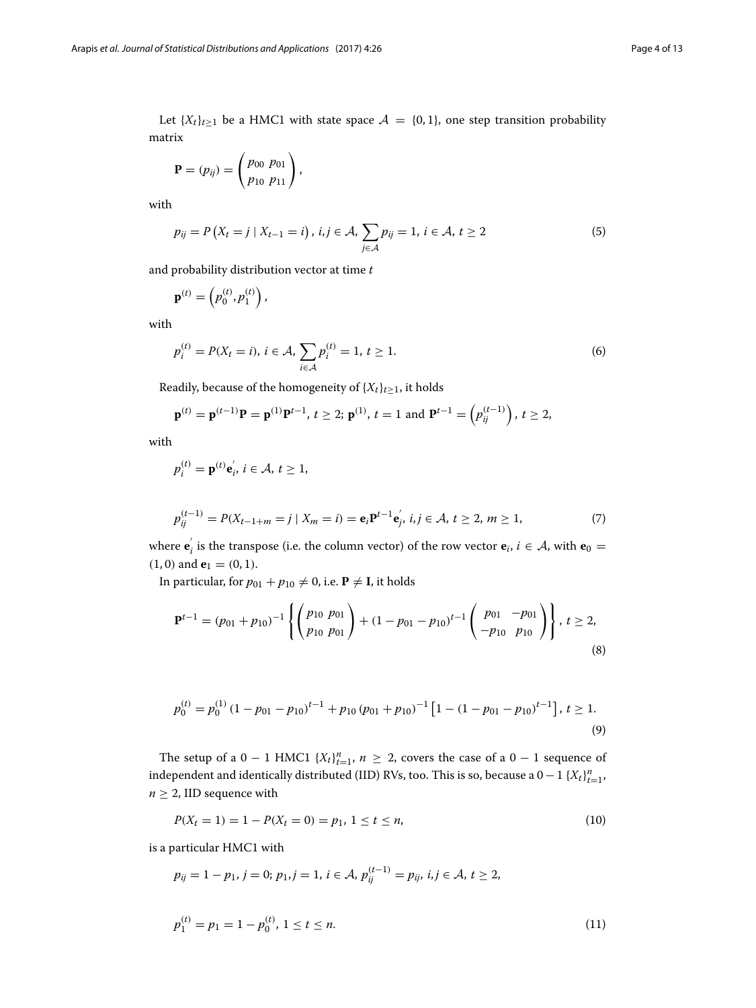Let  ${X_t}_{t\geq1}$  be a HMC1 with state space  $A = \{0, 1\}$ , one step transition probability matrix

$$
\mathbf{P} = (p_{ij}) = \begin{pmatrix} p_{00} & p_{01} \\ p_{10} & p_{11} \end{pmatrix},
$$

with

$$
p_{ij} = P(X_t = j \mid X_{t-1} = i), i, j \in \mathcal{A}, \sum_{j \in \mathcal{A}} p_{ij} = 1, i \in \mathcal{A}, t \ge 2
$$
\n(5)

and probability distribution vector at time *t*

$$
\mathbf{p}^{(t)} = \left(p_0^{(t)}, p_1^{(t)}\right),\,
$$

with

$$
p_i^{(t)} = P(X_t = i), i \in \mathcal{A}, \sum_{i \in \mathcal{A}} p_i^{(t)} = 1, t \ge 1.
$$
 (6)

Readily, because of the homogeneity of  $\{X_t\}_{t\geq 1}$ , it holds

$$
\mathbf{p}^{(t)} = \mathbf{p}^{(t-1)} \mathbf{P} = \mathbf{p}^{(1)} \mathbf{P}^{t-1}, t \geq 2; \mathbf{p}^{(1)}, t = 1 \text{ and } \mathbf{P}^{t-1} = (p_{ij}^{(t-1)}) \text{, } t \geq 2,
$$

with

$$
p_i^{(t)} = \mathbf{p}^{(t)} \mathbf{e}'_i, i \in \mathcal{A}, t \geq 1,
$$

$$
p_{ij}^{(t-1)} = P(X_{t-1+m} = j \mid X_m = i) = \mathbf{e}_i \mathbf{P}^{t-1} \mathbf{e}_j, \ i, j \in \mathcal{A}, \ t \ge 2, \ m \ge 1,
$$
\n<sup>(7)</sup>

where  $\mathbf{e}'_i$  is the transpose (i.e. the column vector) of the row vector  $\mathbf{e}_i$ ,  $i \in \mathcal{A}$ , with  $\mathbf{e}_0 =$  $(1, 0)$  and **e**<sub>1</sub> =  $(0, 1)$ .

In particular, for  $p_{01} + p_{10} \neq 0$ , i.e.  $P \neq I$ , it holds

$$
\mathbf{P}^{t-1} = (p_{01} + p_{10})^{-1} \left\{ \begin{pmatrix} p_{10} & p_{01} \\ p_{10} & p_{01} \end{pmatrix} + (1 - p_{01} - p_{10})^{t-1} \begin{pmatrix} p_{01} & -p_{01} \\ -p_{10} & p_{10} \end{pmatrix} \right\}, \ t \ge 2,
$$
\n
$$
(8)
$$

$$
p_0^{(t)} = p_0^{(1)} \left(1 - p_{01} - p_{10}\right)^{t-1} + p_{10} \left(p_{01} + p_{10}\right)^{-1} \left[1 - \left(1 - p_{01} - p_{10}\right)^{t-1}\right], \, t \ge 1. \tag{9}
$$

The setup of a  $0 - 1$  HMC1  $\{X_t\}_{t=1}^n$ ,  $n \geq 2$ , covers the case of a  $0 - 1$  sequence of independent and identically distributed (IID) RVs, too. This is so, because a  $0-1$   $\{X_t\}_{t=1}^n$ ,  $n \geq 2$ , IID sequence with

<span id="page-3-0"></span>
$$
P(X_t = 1) = 1 - P(X_t = 0) = p_1, \ 1 \le t \le n,
$$
\n<sup>(10)</sup>

is a particular HMC1 with

$$
p_{ij} = 1 - p_1, j = 0; p_1, j = 1, i \in \mathcal{A}, p_{ij}^{(t-1)} = p_{ij}, i, j \in \mathcal{A}, t \ge 2,
$$

<span id="page-3-1"></span>
$$
p_1^{(t)} = p_1 = 1 - p_0^{(t)}, \ 1 \le t \le n. \tag{11}
$$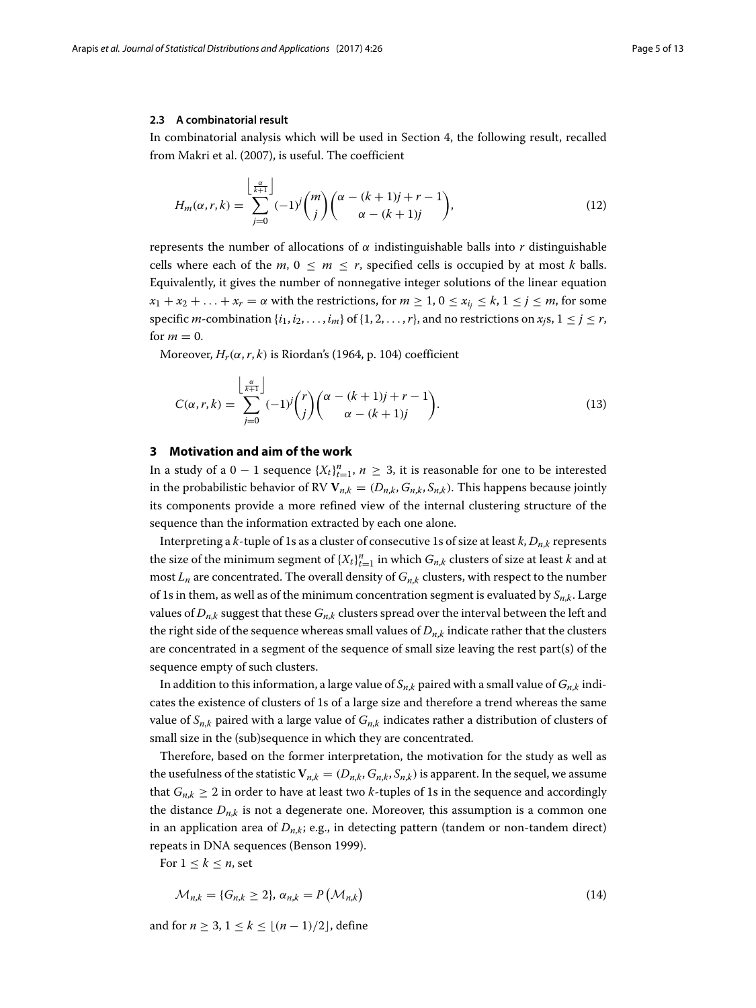#### **2.3 A combinatorial result**

In combinatorial analysis which will be used in Section [4,](#page-5-0) the following result, recalled from Makri et al. [\(2007\)](#page-12-6), is useful. The coefficient

$$
H_m(\alpha, r, k) = \sum_{j=0}^{\left\lfloor \frac{\alpha}{k+1} \right\rfloor} (-1)^j \binom{m}{j} \binom{\alpha - (k+1)j + r - 1}{\alpha - (k+1)j},\tag{12}
$$

represents the number of allocations of α indistinguishable balls into *r* distinguishable cells where each of the  $m, 0 \le m \le r$ , specified cells is occupied by at most *k* balls. Equivalently, it gives the number of nonnegative integer solutions of the linear equation  $x_1 + x_2 + \ldots + x_r = \alpha$  with the restrictions, for  $m \ge 1, 0 \le x_i \le k, 1 \le j \le m$ , for some specific *m*-combination  $\{i_1, i_2, \ldots, i_m\}$  of  $\{1, 2, \ldots, r\}$ , and no restrictions on  $x_i$ s,  $1 \leq j \leq r$ , for  $m = 0$ .

Moreover,  $H_r(\alpha, r, k)$  is Riordan's [\(1964,](#page-12-7) p. 104) coefficient

$$
C(\alpha, r, k) = \sum_{j=0}^{\left\lfloor \frac{\alpha}{k+1} \right\rfloor} (-1)^j {r \choose j} {\alpha - (k+1)j + r - 1 \choose \alpha - (k+1)j}.
$$
 (13)

#### <span id="page-4-0"></span>**3 Motivation and aim of the work**

In a study of a  $0 - 1$  sequence  $\{X_t\}_{t=1}^n$ ,  $n \geq 3$ , it is reasonable for one to be interested in the probabilistic behavior of RV  $V_{n,k} = (D_{n,k}, G_{n,k}, S_{n,k})$ . This happens because jointly its components provide a more refined view of the internal clustering structure of the sequence than the information extracted by each one alone.

Interpreting a *k*-tuple of 1s as a cluster of consecutive 1s of size at least *k*, *Dn*,*<sup>k</sup>* represents the size of the minimum segment of  $\{X_t\}_{t=1}^n$  in which  $G_{n,k}$  clusters of size at least *k* and at most  $L_n$  are concentrated. The overall density of  $G_{n,k}$  clusters, with respect to the number of 1s in them, as well as of the minimum concentration segment is evaluated by  $S_{n,k}$ . Large values of  $D_{n,k}$  suggest that these  $G_{n,k}$  clusters spread over the interval between the left and the right side of the sequence whereas small values of  $D_{n,k}$  indicate rather that the clusters are concentrated in a segment of the sequence of small size leaving the rest part(s) of the sequence empty of such clusters.

In addition to this information, a large value of  $S_{n,k}$  paired with a small value of  $G_{n,k}$  indicates the existence of clusters of 1s of a large size and therefore a trend whereas the same value of  $S_{n,k}$  paired with a large value of  $G_{n,k}$  indicates rather a distribution of clusters of small size in the (sub)sequence in which they are concentrated.

Therefore, based on the former interpretation, the motivation for the study as well as the usefulness of the statistic  $V_{n,k} = (D_{n,k}, G_{n,k}, S_{n,k})$  is apparent. In the sequel, we assume that  $G_{n,k} \geq 2$  in order to have at least two *k*-tuples of 1s in the sequence and accordingly the distance  $D_{n,k}$  is not a degenerate one. Moreover, this assumption is a common one in an application area of *Dn*,*k*; e.g., in detecting pattern (tandem or non-tandem direct) repeats in DNA sequences (Benson [1999\)](#page-11-12).

For  $1 \leq k \leq n$ , set

$$
\mathcal{M}_{n,k} = \{G_{n,k} \ge 2\}, \, \alpha_{n,k} = P\left(\mathcal{M}_{n,k}\right) \tag{14}
$$

and for *n* ≥ 3, 1 ≤ *k* ≤  $|(n-1)/2|$ , define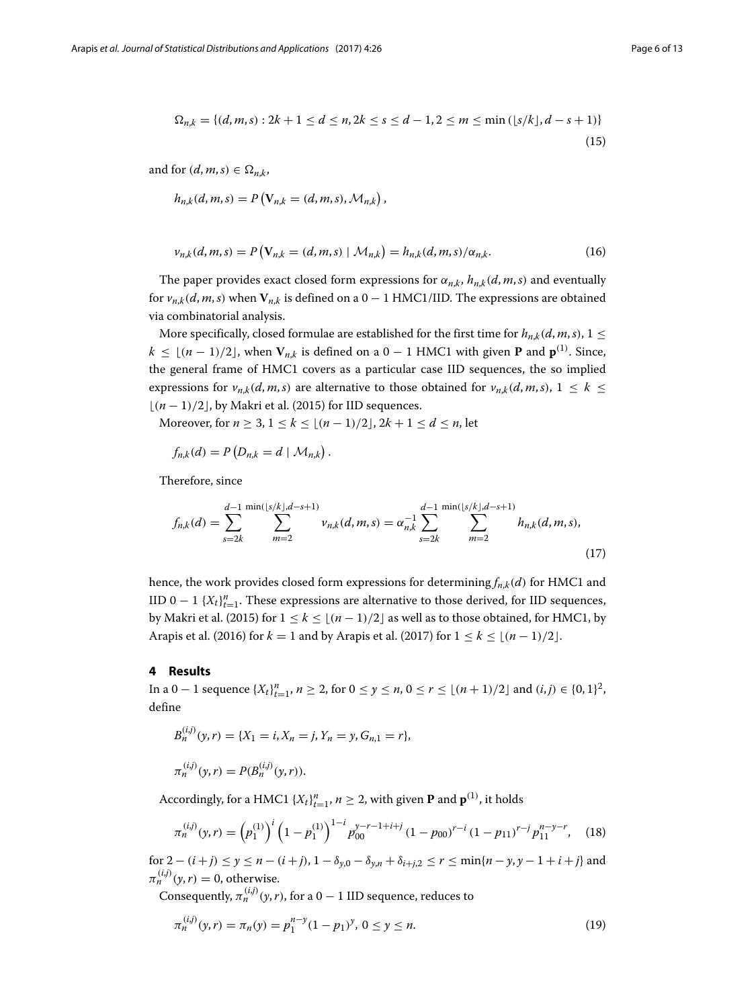$$
\Omega_{n,k} = \{(d,m,s) : 2k+1 \le d \le n, 2k \le s \le d-1, 2 \le m \le \min\left(\lfloor s/k \rfloor, d-s+1\right)\}\tag{15}
$$

and for  $(d, m, s) \in \Omega_{n,k}$ ,

$$
h_{n,k}(d, m, s) = P(V_{n,k} = (d, m, s), \mathcal{M}_{n,k}),
$$

$$
v_{n,k}(d,m,s) = P(V_{n,k} = (d,m,s) | \mathcal{M}_{n,k}) = h_{n,k}(d,m,s) / \alpha_{n,k}.
$$
 (16)

The paper provides exact closed form expressions for  $\alpha_{n,k}$ ,  $h_{n,k}(d, m, s)$  and eventually for  $v_{n,k}(d, m, s)$  when  $V_{n,k}$  is defined on a 0 − 1 HMC1/IID. The expressions are obtained via combinatorial analysis.

More specifically, closed formulae are established for the first time for  $h_{n,k}(d, m, s)$ ,  $1 \leq$ *k* ≤  $\lfloor (n-1)/2 \rfloor$ , when  $V_{n,k}$  is defined on a 0 − 1 HMC1 with given **P** and  $\mathbf{p}^{(1)}$ . Since, the general frame of HMC1 covers as a particular case IID sequences, the so implied expressions for  $v_{n,k}(d, m, s)$  are alternative to those obtained for  $v_{n,k}(d, m, s)$ ,  $1 \leq k \leq$ (*n* − 1)/2, by Makri et al. [\(2015\)](#page-12-5) for IID sequences.

Moreover, for  $n \ge 3$ ,  $1 \le k \le [(n-1)/2]$ ,  $2k + 1 \le d \le n$ , let

<span id="page-5-2"></span>
$$
f_{n,k}(d) = P\left(D_{n,k} = d \mid \mathcal{M}_{n,k}\right).
$$

Therefore, since

$$
f_{n,k}(d) = \sum_{s=2k}^{d-1} \sum_{m=2}^{\min(|s/k|, d-s+1)} \nu_{n,k}(d, m, s) = \alpha_{n,k}^{-1} \sum_{s=2k}^{d-1} \sum_{m=2}^{\min(|s/k|, d-s+1)} h_{n,k}(d, m, s),
$$
\n(17)

hence, the work provides closed form expressions for determining  $f_{n,k}(d)$  for HMC1 and IID 0 − 1  ${X_t}_{t=1}^n$ . These expressions are alternative to those derived, for IID sequences, by Makri et al. [\(2015\)](#page-12-5) for  $1 \leq k \leq \lfloor (n-1)/2 \rfloor$  as well as to those obtained, for HMC1, by Arapis et al. [\(2016\)](#page-11-13) for  $k = 1$  and by Arapis et al. [\(2017\)](#page-11-14) for  $1 \le k \le \lfloor (n-1)/2 \rfloor$ .

#### <span id="page-5-0"></span>**4 Results**

In a 0 − 1 sequence  ${X_t}_{t=1}^n$ ,  $n \ge 2$ , for  $0 \le y \le n$ ,  $0 \le r \le \lfloor (n+1)/2 \rfloor$  and  $(i,j) \in \{0,1\}^2$ , define

$$
B_n^{(i,j)}(y,r) = \{X_1 = i, X_n = j, Y_n = y, G_{n,1} = r\},\,
$$
  

$$
\pi_n^{(i,j)}(y,r) = P(B_n^{(i,j)}(y,r)).
$$

Accordingly, for a HMC1  $\{X_t\}_{t=1}^n$ ,  $n \geq 2$ , with given **P** and  $\mathbf{p}^{(1)}$ , it holds

$$
\pi_n^{(i,j)}(y,r) = \left(p_1^{(1)}\right)^i \left(1 - p_1^{(1)}\right)^{1-i} p_{00}^{y-r-1+i+j} \left(1 - p_{00}\right)^{r-i} \left(1 - p_{11}\right)^{r-j} p_{11}^{n-y-r},\tag{18}
$$

for 2 − (*i* + *j*) ≤ *y* ≤ *n* − (*i* + *j*), 1 −  $\delta_{v,0}$  −  $\delta_{v,n}$  +  $\delta_{i+i,2}$  ≤ *r* ≤ min{*n* − *y*, *y* − 1 + *i* + *j*} and  $\pi_n^{(i,j)}(\gamma, r) = 0$ , otherwise.

Consequently,  $\pi_n^{(i,j)}(\gamma, r)$ , for a 0 − 1 IID sequence, reduces to

<span id="page-5-1"></span>
$$
\pi_n^{(i,j)}(y,r) = \pi_n(y) = p_1^{n-y}(1-p_1)^y, \ 0 \le y \le n. \tag{19}
$$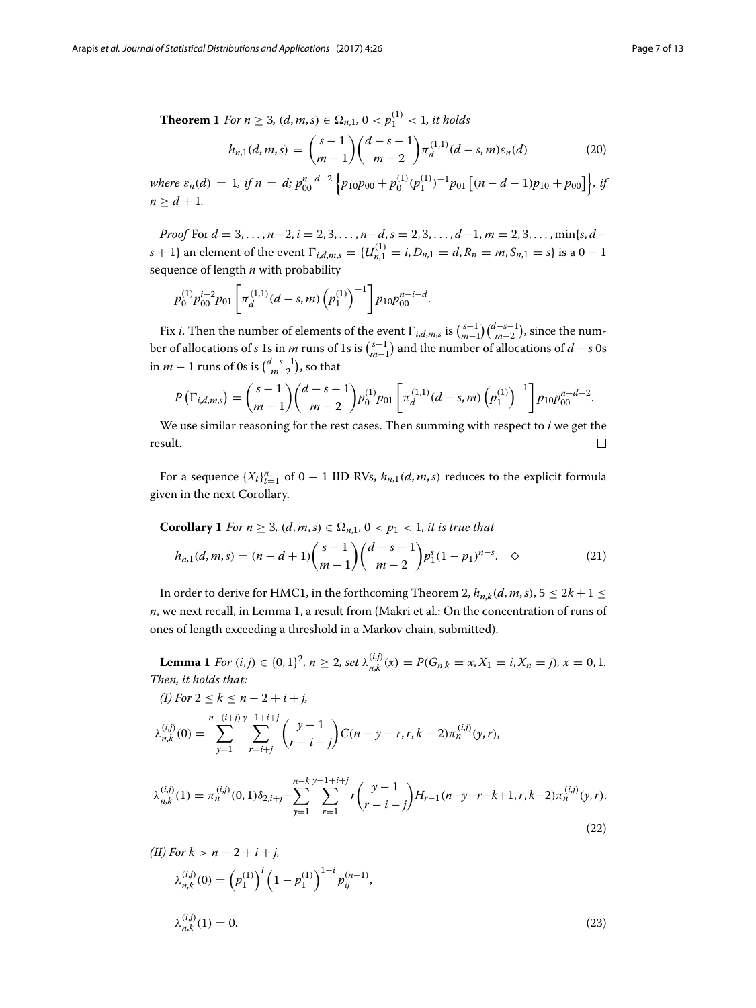<span id="page-6-1"></span>**Theorem 1** *For n*  $\geq$  3*,* (*d, m, s*)  $\in \Omega_{n,1}$ , 0  $\lt p_1^{(1)} \lt 1$ *, it holds* 

$$
h_{n,1}(d,m,s) = {s-1 \choose m-1} {d-s-1 \choose m-2} \pi_d^{(1,1)}(d-s,m)\varepsilon_n(d)
$$
 (20)

*where*  $\varepsilon_n(d) = 1$ , if  $n = d$ ;  $p_{00}^{n-d-2} \left\{ p_{10}p_{00} + p_0^{(1)}(p_1^{(1)})^{-1}p_{01} \left[ (n-d-1)p_{10} + p_{00} \right] \right\}$ , if  $n > d + 1$ .

*Proof* For *d* = 3, ... , *n*−2, *i* = 2, 3, ... , *n*−*d*, *s* = 2, 3, ... , *d*−1, *m* = 2, 3, ... , min{*s*, *d*−  $s + 1$ } an element of the event  $\Gamma_{i,d,m,s} = \{U_{n,1}^{(1)} = i, D_{n,1} = d, R_n = m, S_{n,1} = s\}$  is a  $0 - 1$ sequence of length *n* with probability

$$
p_0^{(1)} p_{00}^{i-2} p_{01} \left[ \pi_d^{(1,1)} (d-s,m) \left( p_1^{(1)} \right)^{-1} \right] p_{10} p_{00}^{n-i-d}.
$$

Fix *i*. Then the number of elements of the event  $\Gamma_{i,d,m,s}$  is  $\binom{s-1}{m-1}\binom{d-s-1}{m-2}$ , since the number of allocations of *s* 1s in *m* runs of 1s is  $\binom{s-1}{m-1}$  and the number of allocations of *d* − *s* 0s in *m* − 1 runs of 0s is  $\binom{d-s-1}{m-2}$ , so that

$$
P\left(\Gamma_{i,d,m,s}\right) = {s-1 \choose m-1} {d-s-1 \choose m-2} p_0^{(1)} p_{01} \left[ \pi_d^{(1,1)}(d-s,m) \left( p_1^{(1)} \right)^{-1} \right] p_{10} p_{00}^{n-d-2}.
$$

We use similar reasoning for the rest cases. Then summing with respect to *i* we get the result.  $\Box$ 

For a sequence  ${X_t}_{t=1}^n$  of 0 − 1 IID RVs,  $h_{n,1}(d, m, s)$  reduces to the explicit formula given in the next Corollary.

<span id="page-6-2"></span>**Corollary 1** For 
$$
n \ge 3
$$
,  $(d, m, s) \in \Omega_{n,1}$ ,  $0 < p_1 < 1$ , it is true that  
\n
$$
h_{n,1}(d, m, s) = (n - d + 1) {s - 1 \choose m - 1} {d - s - 1 \choose m - 2} p_1^s (1 - p_1)^{n - s}. \quad \diamond
$$
\n(21)

In order to derive for HMC1, in the forthcoming Theorem [2,](#page-7-0)  $h_{n,k}(d, m, s)$ ,  $5 \leq 2k + 1 \leq$ *n*, we next recall, in Lemma [1,](#page-6-0) a result from (Makri et al.: On the concentration of runs of ones of length exceeding a threshold in a Markov chain, submitted).

<span id="page-6-0"></span>**Lemma 1** For  $(i, j) \in \{0, 1\}^2$ ,  $n \ge 2$ , set  $\lambda_{n,k}^{(i,j)}(x) = P(G_{n,k} = x, X_1 = i, X_n = j)$ ,  $x = 0, 1$ . *Then, it holds that:*

$$
(I) For 2 \le k \le n - 2 + i + j,
$$
  
\n
$$
\lambda_{n,k}^{(i,j)}(0) = \sum_{y=1}^{n-(i+j)} \sum_{r=i+j}^{y-1-j} {y-1 \choose r-i-j} C(n-y-r, r, k-2) \pi_n^{(i,j)}(y, r),
$$

<span id="page-6-3"></span>
$$
\lambda_{n,k}^{(i,j)}(1) = \pi_n^{(i,j)}(0,1)\delta_{2,i+j} + \sum_{y=1}^{n-k} \sum_{r=1}^{y-1+i+j} r \binom{y-1}{r-i-j} H_{r-1}(n-y-r-k+1,r,k-2)\pi_n^{(i,j)}(y,r).
$$
\n(22)

(II) For 
$$
k > n - 2 + i + j
$$
,  
\n
$$
\lambda_{n,k}^{(i,j)}(0) = \left(p_1^{(1)}\right)^i \left(1 - p_1^{(1)}\right)^{1-i} p_{ij}^{(n-1)},
$$
\n
$$
\lambda_{n,k}^{(i,j)}(1) = 0.
$$
\n(23)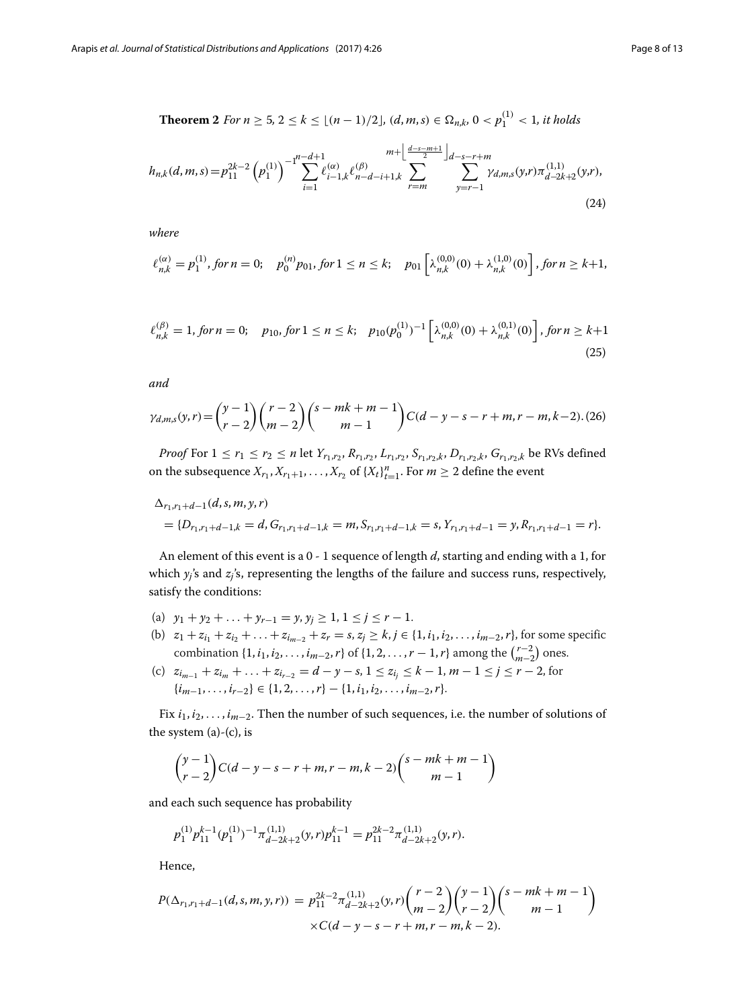<span id="page-7-0"></span>**Theorem 2** *For n* ≥ 5, 2 ≤ *k* ≤  $\lfloor (n-1)/2 \rfloor$ ,  $(d, m, s) \in \Omega_{n,k}$ , 0 <  $p_1^{(1)}$  < 1, it holds

$$
h_{n,k}(d,m,s) = p_{11}^{2k-2} \left( p_1^{(1)} \right)^{-1} \sum_{i=1}^{n-d+1} \ell_{i-1,k}^{(\alpha)} \ell_{n-d-i+1,k}^{(\beta)} \sum_{r=m}^{m+\left[ \frac{d-s-m+1}{2} \right]_{d-s-r+m}} \sum_{y=r-1}^{d-s-r+m} \gamma_{d,m,s}(y,r) \pi_{d-2k+2}^{(1,1)}(y,r), \tag{24}
$$

*where*

$$
\ell_{n,k}^{(\alpha)} = p_1^{(1)}, \text{ for } n = 0; \quad p_0^{(n)} p_{01}, \text{ for } 1 \le n \le k; \quad p_{01} \left[ \lambda_{n,k}^{(0,0)}(0) + \lambda_{n,k}^{(1,0)}(0) \right], \text{ for } n \ge k+1,
$$

$$
\ell_{n,k}^{(\beta)} = 1, \text{ for } n = 0; \quad p_{10}, \text{ for } 1 \le n \le k; \quad p_{10}(p_0^{(1)})^{-1} \left[ \lambda_{n,k}^{(0,0)}(0) + \lambda_{n,k}^{(0,1)}(0) \right], \text{ for } n \ge k+1
$$
\n
$$
(25)
$$

*and*

$$
\gamma_{d,m,s}(y,r) = {y-1 \choose r-2} {r-2 \choose m-2} {s-mk+m-1 \choose m-1} C(d-y-s-r+m,r-m,k-2) \tag{26}
$$

*Proof* For  $1 \le r_1 \le r_2 \le n$  let  $Y_{r_1,r_2}, R_{r_1,r_2}, L_{r_1,r_2}, S_{r_1,r_2,k}, D_{r_1,r_2,k}, G_{r_1,r_2,k}$  be RVs defined on the subsequence  $X_{r_1}, X_{r_1+1}, \ldots, X_{r_2}$  of  $\{X_t\}_{t=1}^n$ . For  $m \geq 2$  define the event

$$
\Delta_{r_1,r_1+d-1}(d,s,m,y,r)
$$
  
= { $D_{r_1,r_1+d-1,k} = d$ ,  $G_{r_1,r_1+d-1,k} = m$ ,  $S_{r_1,r_1+d-1,k} = s$ ,  $Y_{r_1,r_1+d-1} = y$ ,  $R_{r_1,r_1+d-1} = r$  }.

An element of this event is a 0 - 1 sequence of length *d*, starting and ending with a 1, for which  $y_i$ 's and  $z_i$ 's, representing the lengths of the failure and success runs, respectively, satisfy the conditions:

- (a)  $y_1 + y_2 + \ldots + y_{r-1} = y, y_i \ge 1, 1 \le j \le r-1.$
- (b)  $z_1 + z_{i_1} + z_{i_2} + \ldots + z_{i_{m-2}} + z_r = s, z_j \ge k, j \in \{1, i_1, i_2, \ldots, i_{m-2}, r\}$ , for some specific combination  $\{1, i_1, i_2, \ldots, i_{m-2}, r\}$  of  $\{1, 2, \ldots, r - 1, r\}$  among the  $\binom{r-2}{m-2}$  ones.
- (c)  $z_{i_{m-1}} + z_{i_m} + \ldots + z_{i_{r-2}} = d y s, 1 \leq z_{i_j} \leq k 1, m 1 \leq j \leq r 2$ , for  $\{i_{m-1}, \ldots, i_{r-2}\} \in \{1, 2, \ldots, r\} - \{1, i_1, i_2, \ldots, i_{m-2}, r\}.$

Fix *i*1, *i*2, ... , *im*−2. Then the number of such sequences, i.e. the number of solutions of the system  $(a)-(c)$ , is

$$
\binom{y-1}{r-2}C(d-y-s-r+m,r-m,k-2)\binom{s-mk+m-1}{m-1}
$$

and each such sequence has probability

$$
p_1^{(1)}p_{11}^{k-1}(p_1^{(1)})^{-1}\pi_{d-2k+2}^{(1,1)}(y,r)p_{11}^{k-1}=p_{11}^{2k-2}\pi_{d-2k+2}^{(1,1)}(y,r).
$$

Hence,

$$
P(\Delta_{r_1,r_1+d-1}(d,s,m,y,r)) = p_{11}^{2k-2} \pi_{d-2k+2}^{(1,1)}(y,r) {r-2 \choose m-2} {y-1 \choose r-2} {s-mk+m-1 \choose m-1}
$$
  
× $C(d-y-s-r+m,r-m,k-2).$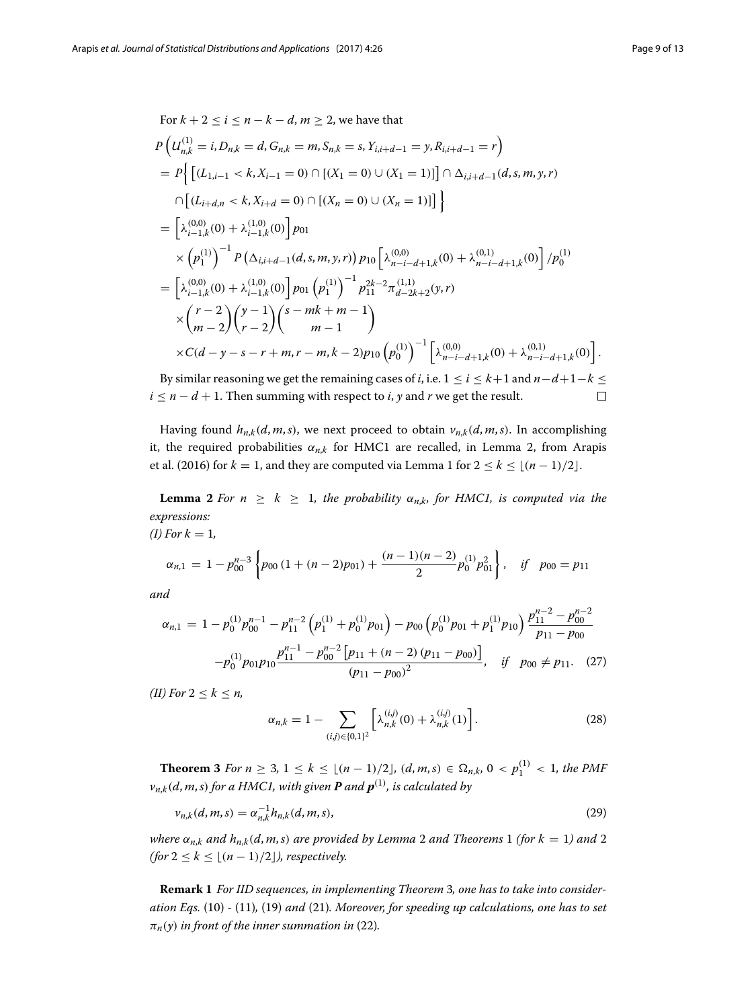For 
$$
k + 2 \le i \le n - k - d
$$
,  $m \ge 2$ , we have that  
\n
$$
P\left(U_{n,k}^{(1)} = i, D_{n,k} = d, G_{n,k} = m, S_{n,k} = s, Y_{i,i+d-1} = y, R_{i,i+d-1} = r\right)
$$
\n
$$
= P\left\{ \left[ (L_{1,i-1} < k, X_{i-1} = 0) \cap \left[ (X_1 = 0) \cup (X_1 = 1) \right] \right] \cap \Delta_{i,i+d-1}(d, s, m, y, r) \right\}
$$
\n
$$
\cap \left[ (L_{i+d,n} < k, X_{i+d} = 0) \cap \left[ (X_n = 0) \cup (X_n = 1) \right] \right\}
$$
\n
$$
= \left[ \lambda_{i-1,k}^{(0,0)}(0) + \lambda_{i-1,k}^{(1,0)}(0) \right] p_{01}
$$
\n
$$
\times \left( p_1^{(1)} \right)^{-1} P\left( \Delta_{i,i+d-1}(d, s, m, y, r) \right) p_{10} \left[ \lambda_{n-i-d+1,k}^{(0,0)}(0) + \lambda_{n-i-d+1,k}^{(0,1)}(0) \right] / p_0^{(1)}
$$
\n
$$
= \left[ \lambda_{i-1,k}^{(0,0)}(0) + \lambda_{i-1,k}^{(1,0)}(0) \right] p_{01} \left( p_1^{(1)} \right)^{-1} p_{11}^{2k-2} \pi_{d-2k+2}^{(1,1)}(y, r)
$$
\n
$$
\times \left( \frac{r-2}{m-2} \right) \left( \frac{y-1}{r-2} \right) \left( \frac{s-mk+m-1}{m-1} \right)
$$
\n
$$
\times C(d-y-s-r+m, r-m, k-2) p_{10} \left( p_0^{(1)} \right)^{-1} \left[ \lambda_{n-i-d+1,k}^{(0,0)}(0) + \lambda_{n-i-d+1,k}^{(0,1)}(0) \right].
$$

By similar reasoning we get the remaining cases of *i*, i.e.  $1 \le i \le k+1$  and  $n-d+1-k \le k$  $i \leq n - d + 1$ . Then summing with respect to *i*, *y* and *r* we get the result.  $\Box$ 

Having found  $h_{n,k}(d, m, s)$ , we next proceed to obtain  $v_{n,k}(d, m, s)$ . In accomplishing it, the required probabilities  $\alpha_{n,k}$  for HMC1 are recalled, in Lemma [2,](#page-8-0) from Arapis et al. [\(2016\)](#page-11-13) for  $k = 1$  $k = 1$ , and they are computed via Lemma 1 for  $2 \le k \le \lfloor (n-1)/2 \rfloor$ .

<span id="page-8-0"></span>**Lemma 2** *For*  $n \geq k \geq 1$ *, the probability*  $\alpha_{n,k}$ *, for HMC1, is computed via the expressions: (I)*  $For k = 1$ 

$$
\alpha_{n,1} = 1 - p_{00}^{n-3} \left\{ p_{00} \left( 1 + (n-2)p_{01} \right) + \frac{(n-1)(n-2)}{2} p_0^{(1)} p_{01}^2 \right\}, \quad \text{if} \quad p_{00} = p_{11}
$$

*and*

$$
\alpha_{n,1} = 1 - p_0^{(1)} p_{00}^{n-1} - p_{11}^{n-2} \left( p_1^{(1)} + p_0^{(1)} p_{01} \right) - p_{00} \left( p_0^{(1)} p_{01} + p_1^{(1)} p_{10} \right) \frac{p_{11}^{n-2} - p_{00}^{n-2}}{p_{11} - p_{00}}
$$

$$
- p_0^{(1)} p_{01} p_{10} \frac{p_{11}^{n-1} - p_{00}^{n-2} \left[ p_{11} + (n-2) \left( p_{11} - p_{00} \right) \right]}{\left( p_{11} - p_{00} \right)^2}, \quad \text{if} \quad p_{00} \neq p_{11}. \tag{27}
$$

*(II) For*  $2 \leq k \leq n$ ,

<span id="page-8-2"></span>
$$
\alpha_{n,k} = 1 - \sum_{(i,j) \in \{0,1\}^2} \left[ \lambda_{n,k}^{(i,j)}(0) + \lambda_{n,k}^{(i,j)}(1) \right]. \tag{28}
$$

<span id="page-8-1"></span>**Theorem 3** *For n* ≥ 3, 1 ≤ *k* ≤  $\lfloor (n-1)/2 \rfloor$ ,  $(d, m, s) \in \Omega_{n,k}$ , 0 <  $p_1^{(1)}$  < 1, the PMF  $v_{n,k}(d,m,s)$  for a HMC1, with given  $\boldsymbol{P}$  and  $\boldsymbol{p}^{(1)}$ , is calculated by

$$
\nu_{n,k}(d,m,s) = \alpha_{n,k}^{-1} h_{n,k}(d,m,s),
$$
\n(29)

*where*  $\alpha_{n,k}$  *and*  $h_{n,k}(d, m, s)$  *are provided by Lemma* [2](#page-7-0) *and* Theorems [1](#page-6-1) *(for*  $k = 1$ *) and* 2 *(for*  $2 \leq k \leq \lfloor (n-1)/2 \rfloor$ *), respectively.* 

**Remark 1** *For IID sequences, in implementing Theorem* [3](#page-8-1)*, one has to take into consideration Eqs.* [\(10\)](#page-3-0) *-* [\(11\)](#page-3-1)*,* [\(19\)](#page-5-1) *and* [\(21\)](#page-6-2)*. Moreover, for speeding up calculations, one has to set*  $\pi_n(y)$  *in front of the inner summation in* [\(22\)](#page-6-3).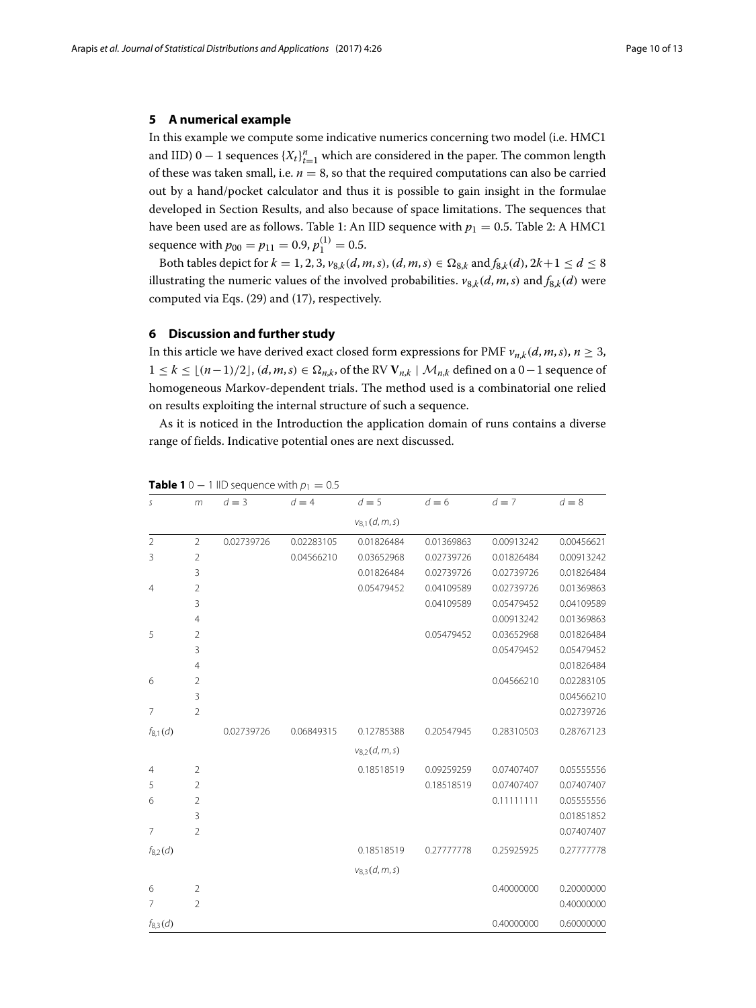#### <span id="page-9-0"></span>**5 A numerical example**

In this example we compute some indicative numerics concerning two model (i.e. HMC1 and IID) 0  $-$  1 sequences  $\{X_t\}_{t=1}^n$  which are considered in the paper. The common length of these was taken small, i.e.  $n = 8$ , so that the required computations can also be carried out by a hand/pocket calculator and thus it is possible to gain insight in the formulae developed in Section [Results,](#page-5-0) and also because of space limitations. The sequences that have been used are as follows. Table [1:](#page-9-2) An IID sequence with  $p_1 = 0.5$ . Table [2:](#page-10-0) A HMC1 sequence with  $p_{00} = p_{11} = 0.9, p_1^{(1)} = 0.5$ .

Both tables depict for  $k = 1, 2, 3, v_{8,k}(d, m, s), (d, m, s) \in \Omega_{8,k}$  and  $f_{8,k}(d), 2k+1 \le d \le 8$ illustrating the numeric values of the involved probabilities.  $v_{8,k}(d, m, s)$  and  $f_{8,k}(d)$  were computed via Eqs. [\(29\)](#page-8-2) and [\(17\)](#page-5-2), respectively.

#### <span id="page-9-1"></span>**6 Discussion and further study**

In this article we have derived exact closed form expressions for PMF  $v_{n,k}(d, m, s)$ ,  $n \geq 3$ ,  $1 \le k \le \lfloor (n-1)/2 \rfloor$ ,  $(d, m, s) \in \Omega_{n,k}$ , of the RV  $V_{n,k} \mid \mathcal{M}_{n,k}$  defined on a 0−1 sequence of homogeneous Markov-dependent trials. The method used is a combinatorial one relied on results exploiting the internal structure of such a sequence.

As it is noticed in the Introduction the application domain of runs contains a diverse range of fields. Indicative potential ones are next discussed.

| S              | m              | $d = 3$    | $d = 4$    | $d=5$              | $d = 6$    | $d=7$      | $d = 8$    |
|----------------|----------------|------------|------------|--------------------|------------|------------|------------|
|                |                |            |            | $v_{8,1}(d, m, s)$ |            |            |            |
| $\overline{2}$ | $\overline{2}$ | 0.02739726 | 0.02283105 | 0.01826484         | 0.01369863 | 0.00913242 | 0.00456621 |
| 3              | 2              |            | 0.04566210 | 0.03652968         | 0.02739726 | 0.01826484 | 0.00913242 |
|                | 3              |            |            | 0.01826484         | 0.02739726 | 0.02739726 | 0.01826484 |
| $\overline{4}$ | $\overline{2}$ |            |            | 0.05479452         | 0.04109589 | 0.02739726 | 0.01369863 |
|                | 3              |            |            |                    | 0.04109589 | 0.05479452 | 0.04109589 |
|                | 4              |            |            |                    |            | 0.00913242 | 0.01369863 |
| 5              | $\overline{2}$ |            |            |                    | 0.05479452 | 0.03652968 | 0.01826484 |
|                | 3              |            |            |                    |            | 0.05479452 | 0.05479452 |
|                | $\overline{4}$ |            |            |                    |            |            | 0.01826484 |
| 6              | $\overline{2}$ |            |            |                    |            | 0.04566210 | 0.02283105 |
|                | 3              |            |            |                    |            |            | 0.04566210 |
| 7              | $\overline{2}$ |            |            |                    |            |            | 0.02739726 |
| $f_{8,1}(d)$   |                | 0.02739726 | 0.06849315 | 0.12785388         | 0.20547945 | 0.28310503 | 0.28767123 |
|                |                |            |            | $v_{8,2}(d, m, s)$ |            |            |            |
| 4              | $\overline{2}$ |            |            | 0.18518519         | 0.09259259 | 0.07407407 | 0.05555556 |
| 5              | $\overline{2}$ |            |            |                    | 0.18518519 | 0.07407407 | 0.07407407 |
| 6              | $\overline{2}$ |            |            |                    |            | 0.11111111 | 0.05555556 |
|                | 3              |            |            |                    |            |            | 0.01851852 |
| $\overline{7}$ | $\overline{2}$ |            |            |                    |            |            | 0.07407407 |
| $f_{8,2}(d)$   |                |            |            | 0.18518519         | 0.27777778 | 0.25925925 | 0.27777778 |
|                |                |            |            | $v_{8,3}(d,m,s)$   |            |            |            |
| 6              | $\overline{2}$ |            |            |                    |            | 0.40000000 | 0.20000000 |
| 7              | 2              |            |            |                    |            |            | 0.40000000 |
| $f_{8,3}(d)$   |                |            |            |                    |            | 0.40000000 | 0.60000000 |

### <span id="page-9-2"></span>**Table 1** 0 − 1 IID sequence with  $p_1 = 0.5$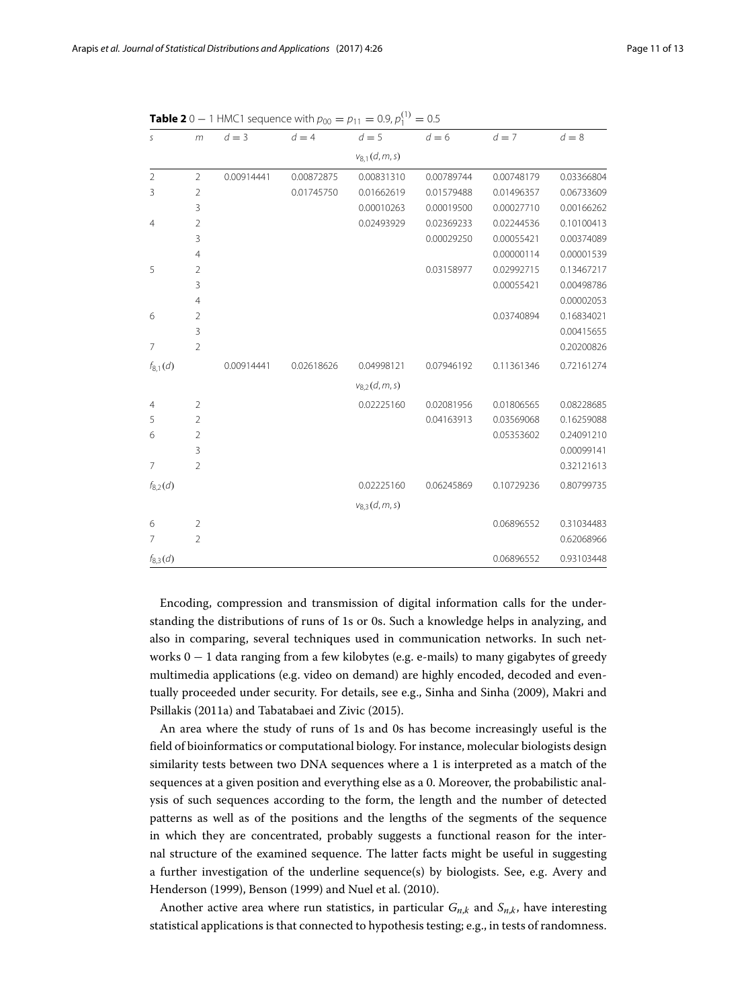| S              | m              | $d = 3$    | $d = 4$    | $d=5$              | $d = 6$    | $d=7$      | $d = 8$    |
|----------------|----------------|------------|------------|--------------------|------------|------------|------------|
|                |                |            |            | $v_{8,1}(d, m, s)$ |            |            |            |
| $\overline{2}$ | $\overline{2}$ | 0.00914441 | 0.00872875 | 0.00831310         | 0.00789744 | 0.00748179 | 0.03366804 |
| 3              | $\overline{2}$ |            | 0.01745750 | 0.01662619         | 0.01579488 | 0.01496357 | 0.06733609 |
|                | 3              |            |            | 0.00010263         | 0.00019500 | 0.00027710 | 0.00166262 |
| $\overline{4}$ | $\overline{2}$ |            |            | 0.02493929         | 0.02369233 | 0.02244536 | 0.10100413 |
|                | 3              |            |            |                    | 0.00029250 | 0.00055421 | 0.00374089 |
|                | 4              |            |            |                    |            | 0.00000114 | 0.00001539 |
| 5              | $\overline{2}$ |            |            |                    | 0.03158977 | 0.02992715 | 0.13467217 |
|                | 3              |            |            |                    |            | 0.00055421 | 0.00498786 |
|                | $\overline{4}$ |            |            |                    |            |            | 0.00002053 |
| 6              | $\overline{2}$ |            |            |                    |            | 0.03740894 | 0.16834021 |
|                | 3              |            |            |                    |            |            | 0.00415655 |
| 7              | $\overline{2}$ |            |            |                    |            |            | 0.20200826 |
| $f_{8,1}(d)$   |                | 0.00914441 | 0.02618626 | 0.04998121         | 0.07946192 | 0.11361346 | 0.72161274 |
|                |                |            |            | $v_{8,2}(d, m, s)$ |            |            |            |
| $\overline{4}$ | $\overline{2}$ |            |            | 0.02225160         | 0.02081956 | 0.01806565 | 0.08228685 |
| 5              | $\overline{2}$ |            |            |                    | 0.04163913 | 0.03569068 | 0.16259088 |
| 6              | $\overline{2}$ |            |            |                    |            | 0.05353602 | 0.24091210 |
|                | 3              |            |            |                    |            |            | 0.00099141 |
| $\overline{7}$ | $\overline{2}$ |            |            |                    |            |            | 0.32121613 |
| $f_{8,2}(d)$   |                |            |            | 0.02225160         | 0.06245869 | 0.10729236 | 0.80799735 |
|                |                |            |            | $v_{8,3}(d, m, s)$ |            |            |            |
| 6              | $\overline{2}$ |            |            |                    |            | 0.06896552 | 0.31034483 |
| 7              | $\overline{2}$ |            |            |                    |            |            | 0.62068966 |
| $f_{8,3}(d)$   |                |            |            |                    |            | 0.06896552 | 0.93103448 |

<span id="page-10-0"></span>**Table 2** 0 − 1 HMC1 sequence with  $p_{00} = p_{11} = 0.9, p_1^{(1)} = 0.5$ 

Encoding, compression and transmission of digital information calls for the understanding the distributions of runs of 1s or 0s. Such a knowledge helps in analyzing, and also in comparing, several techniques used in communication networks. In such networks 0 − 1 data ranging from a few kilobytes (e.g. e-mails) to many gigabytes of greedy multimedia applications (e.g. video on demand) are highly encoded, decoded and eventually proceeded under security. For details, see e.g., Sinha and Sinha [\(2009\)](#page-12-8), Makri and Psillakis [\(2011a\)](#page-12-9) and Tabatabaei and Zivic [\(2015\)](#page-12-10).

An area where the study of runs of 1s and 0s has become increasingly useful is the field of bioinformatics or computational biology. For instance, molecular biologists design similarity tests between two DNA sequences where a 1 is interpreted as a match of the sequences at a given position and everything else as a 0. Moreover, the probabilistic analysis of such sequences according to the form, the length and the number of detected patterns as well as of the positions and the lengths of the segments of the sequence in which they are concentrated, probably suggests a functional reason for the internal structure of the examined sequence. The latter facts might be useful in suggesting a further investigation of the underline sequence(s) by biologists. See, e.g. Avery and Henderson [\(1999\)](#page-11-15), Benson [\(1999\)](#page-11-12) and Nuel et al. [\(2010\)](#page-12-11).

Another active area where run statistics, in particular  $G_{n,k}$  and  $S_{n,k}$ , have interesting statistical applications is that connected to hypothesis testing; e.g., in tests of randomness.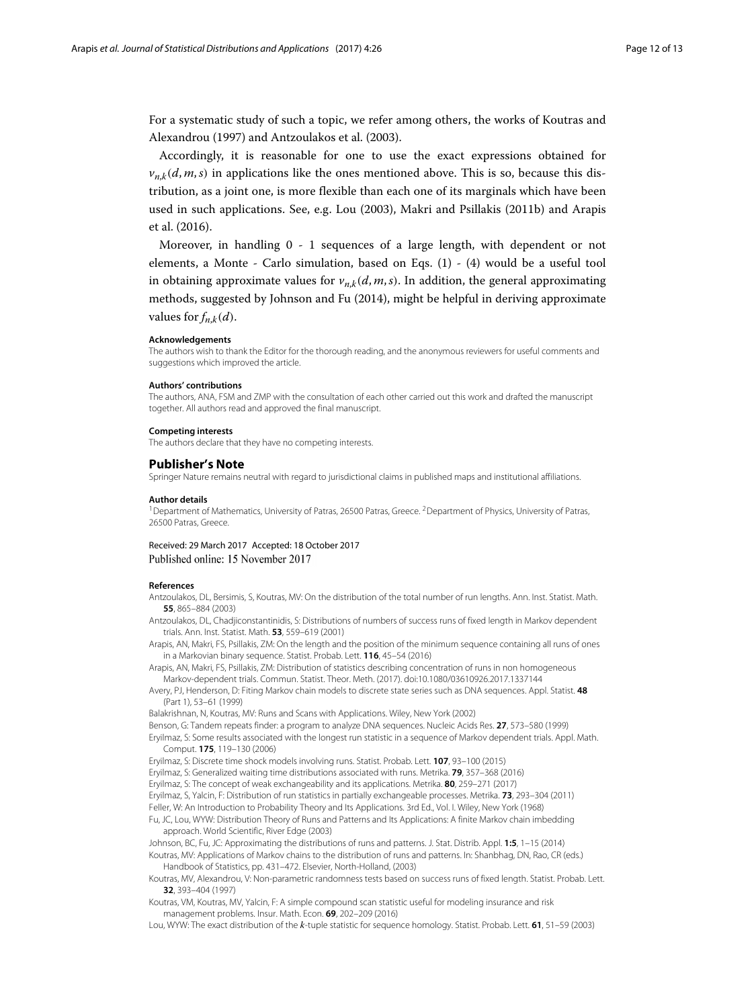For a systematic study of such a topic, we refer among others, the works of Koutras and Alexandrou [\(1997\)](#page-11-16) and Antzoulakos et al. [\(2003\)](#page-11-17).

Accordingly, it is reasonable for one to use the exact expressions obtained for  $v_{n,k}(d, m, s)$  in applications like the ones mentioned above. This is so, because this distribution, as a joint one, is more flexible than each one of its marginals which have been used in such applications. See, e.g. Lou [\(2003\)](#page-11-18), Makri and Psillakis [\(2011b\)](#page-12-12) and Arapis et al. [\(2016\)](#page-11-13).

Moreover, in handling 0 - 1 sequences of a large length, with dependent or not elements, a Monte - Carlo simulation, based on Eqs. [\(1\)](#page-1-1) - [\(4\)](#page-2-0) would be a useful tool in obtaining approximate values for  $v_{n,k}(d, m, s)$ . In addition, the general approximating methods, suggested by Johnson and Fu [\(2014\)](#page-11-8), might be helpful in deriving approximate values for  $f_{n,k}(d)$ .

#### **Acknowledgements**

The authors wish to thank the Editor for the thorough reading, and the anonymous reviewers for useful comments and suggestions which improved the article.

#### **Authors' contributions**

The authors, ANA, FSM and ZMP with the consultation of each other carried out this work and drafted the manuscript together. All authors read and approved the final manuscript.

#### **Competing interests**

The authors declare that they have no competing interests.

#### **Publisher's Note**

Springer Nature remains neutral with regard to jurisdictional claims in published maps and institutional affiliations.

#### **Author details**

<sup>1</sup>Department of Mathematics, University of Patras, 26500 Patras, Greece. <sup>2</sup>Department of Physics, University of Patras, 26500 Patras, Greece.

#### Received: 29 March 2017 Accepted: 18 October 2017 Published online: 15 November 2017

#### **References**

- <span id="page-11-17"></span>Antzoulakos, DL, Bersimis, S, Koutras, MV: On the distribution of the total number of run lengths. Ann. Inst. Statist. Math. **55**, 865–884 (2003)
- <span id="page-11-2"></span>Antzoulakos, DL, Chadjiconstantinidis, S: Distributions of numbers of success runs of fixed length in Markov dependent trials. Ann. Inst. Statist. Math. **53**, 559–619 (2001)
- <span id="page-11-13"></span>Arapis, AN, Makri, FS, Psillakis, ZM: On the length and the position of the minimum sequence containing all runs of ones in a Markovian binary sequence. Statist. Probab. Lett. **116**, 45–54 (2016)
- <span id="page-11-14"></span>Arapis, AN, Makri, FS, Psillakis, ZM: Distribution of statistics describing concentration of runs in non homogeneous Markov-dependent trials. Commun. Statist. Theor. Meth. (2017). doi[:10.1080/03610926.2017.1337144](http://dx.doi.org/10.1080/03610926.2017.1337144)
- <span id="page-11-15"></span>Avery, PJ, Henderson, D: Fiting Markov chain models to discrete state series such as DNA sequences. Appl. Statist. **48** (Part 1), 53–61 (1999)
- <span id="page-11-0"></span>Balakrishnan, N, Koutras, MV: Runs and Scans with Applications. Wiley, New York (2002)
- <span id="page-11-12"></span>Benson, G: Tandem repeats finder: a program to analyze DNA sequences. Nucleic Acids Res. **27**, 573–580 (1999)
- <span id="page-11-3"></span>Eryilmaz, S: Some results associated with the longest run statistic in a sequence of Markov dependent trials. Appl. Math. Comput. **175**, 119–130 (2006)
- <span id="page-11-4"></span>Eryilmaz, S: Discrete time shock models involving runs. Statist. Probab. Lett. **107**, 93–100 (2015)
- <span id="page-11-5"></span>Eryilmaz, S: Generalized waiting time distributions associated with runs. Metrika. **79**, 357–368 (2016)
- <span id="page-11-6"></span>Eryilmaz, S: The concept of weak exchangeability and its applications. Metrika. **80**, 259–271 (2017)
- <span id="page-11-7"></span>Eryilmaz, S, Yalcin, F: Distribution of run statistics in partially exchangeable processes. Metrika. **73**, 293–304 (2011)
- <span id="page-11-11"></span>Feller, W: An Introduction to Probability Theory and Its Applications. 3rd Ed., Vol. I. Wiley, New York (1968)
- <span id="page-11-1"></span>Fu, JC, Lou, WYW: Distribution Theory of Runs and Patterns and Its Applications: A finite Markov chain imbedding approach. World Scientific, River Edge (2003)

<span id="page-11-9"></span><span id="page-11-8"></span>Johnson, BC, Fu, JC: Approximating the distributions of runs and patterns. J. Stat. Distrib. Appl. **1:5**, 1–15 (2014) Koutras, MV: Applications of Markov chains to the distribution of runs and patterns. In: Shanbhag, DN, Rao, CR (eds.) Handbook of Statistics, pp. 431–472. Elsevier, North-Holland, (2003)

- <span id="page-11-16"></span>Koutras, MV, Alexandrou, V: Non-parametric randomness tests based on success runs of fixed length. Statist. Probab. Lett. **32**, 393–404 (1997)
- <span id="page-11-10"></span>Koutras, VM, Koutras, MV, Yalcin, F: A simple compound scan statistic useful for modeling insurance and risk management problems. Insur. Math. Econ. **69**, 202–209 (2016)
- <span id="page-11-18"></span>Lou, WYW: The exact distribution of the *k*-tuple statistic for sequence homology. Statist. Probab. Lett. **61**, 51–59 (2003)